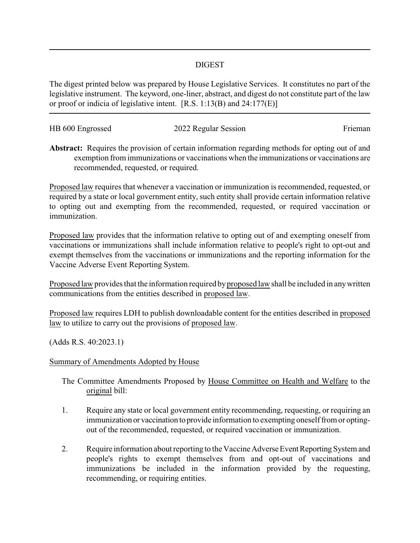## DIGEST

The digest printed below was prepared by House Legislative Services. It constitutes no part of the legislative instrument. The keyword, one-liner, abstract, and digest do not constitute part of the law or proof or indicia of legislative intent. [R.S. 1:13(B) and 24:177(E)]

| HB 600 Engrossed | 2022 Regular Session | Frieman |
|------------------|----------------------|---------|
|                  |                      |         |

**Abstract:** Requires the provision of certain information regarding methods for opting out of and exemption from immunizations or vaccinations when the immunizations or vaccinations are recommended, requested, or required.

Proposed law requires that whenever a vaccination or immunization is recommended, requested, or required by a state or local government entity, such entity shall provide certain information relative to opting out and exempting from the recommended, requested, or required vaccination or immunization.

Proposed law provides that the information relative to opting out of and exempting oneself from vaccinations or immunizations shall include information relative to people's right to opt-out and exempt themselves from the vaccinations or immunizations and the reporting information for the Vaccine Adverse Event Reporting System.

Proposed law provides that the information required byproposed law shall be included in anywritten communications from the entities described in proposed law.

Proposed law requires LDH to publish downloadable content for the entities described in proposed law to utilize to carry out the provisions of proposed law.

(Adds R.S. 40:2023.1)

## Summary of Amendments Adopted by House

The Committee Amendments Proposed by House Committee on Health and Welfare to the original bill:

- 1. Require any state or local government entity recommending, requesting, or requiring an immunization or vaccination to provide information to exempting oneself from or optingout of the recommended, requested, or required vaccination or immunization.
- 2. Require information about reporting to the Vaccine Adverse Event Reporting System and people's rights to exempt themselves from and opt-out of vaccinations and immunizations be included in the information provided by the requesting, recommending, or requiring entities.